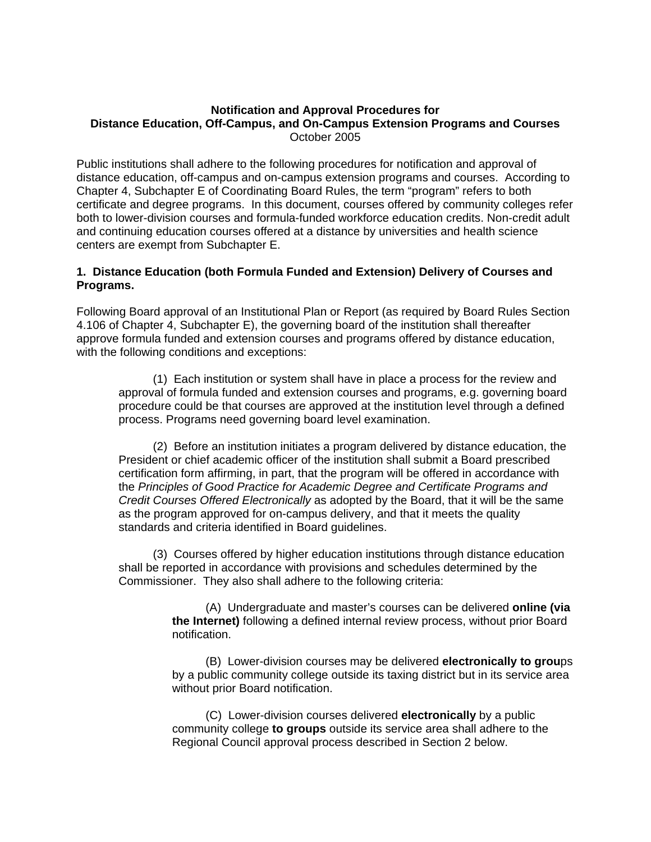### **Notification and Approval Procedures for Distance Education, Off-Campus, and On-Campus Extension Programs and Courses**  October 2005

Public institutions shall adhere to the following procedures for notification and approval of distance education, off-campus and on-campus extension programs and courses. According to Chapter 4, Subchapter E of Coordinating Board Rules, the term "program" refers to both certificate and degree programs. In this document, courses offered by community colleges refer both to lower-division courses and formula-funded workforce education credits. Non-credit adult and continuing education courses offered at a distance by universities and health science centers are exempt from Subchapter E.

# **1. Distance Education (both Formula Funded and Extension) Delivery of Courses and Programs.**

Following Board approval of an Institutional Plan or Report (as required by Board Rules Section 4.106 of Chapter 4, Subchapter E), the governing board of the institution shall thereafter approve formula funded and extension courses and programs offered by distance education, with the following conditions and exceptions:

(1) Each institution or system shall have in place a process for the review and approval of formula funded and extension courses and programs, e.g. governing board procedure could be that courses are approved at the institution level through a defined process. Programs need governing board level examination.

(2) Before an institution initiates a program delivered by distance education, the President or chief academic officer of the institution shall submit a Board prescribed certification form affirming, in part, that the program will be offered in accordance with the *Principles of Good Practice for Academic Degree and Certificate Programs and Credit Courses Offered Electronically* as adopted by the Board, that it will be the same as the program approved for on-campus delivery, and that it meets the quality standards and criteria identified in Board guidelines.

(3) Courses offered by higher education institutions through distance education shall be reported in accordance with provisions and schedules determined by the Commissioner. They also shall adhere to the following criteria:

> (A) Undergraduate and master's courses can be delivered **online (via the Internet)** following a defined internal review process, without prior Board notification.

> (B) Lower-division courses may be delivered **electronically to grou**ps by a public community college outside its taxing district but in its service area without prior Board notification.

(C) Lower-division courses delivered **electronically** by a public community college **to groups** outside its service area shall adhere to the Regional Council approval process described in Section 2 below.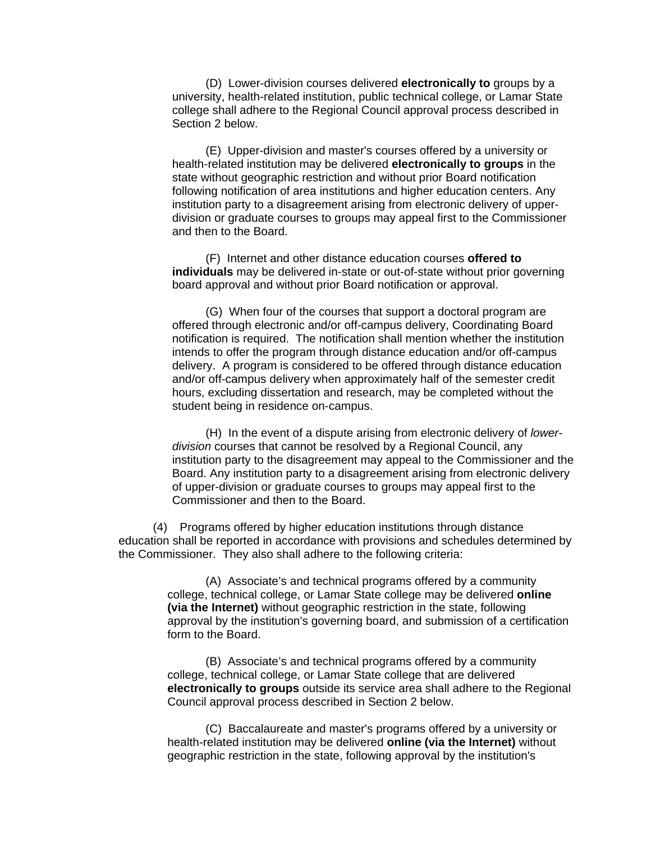(D) Lower-division courses delivered **electronically to** groups by a university, health-related institution, public technical college, or Lamar State college shall adhere to the Regional Council approval process described in Section 2 below.

(E) Upper-division and master's courses offered by a university or health-related institution may be delivered **electronically to groups** in the state without geographic restriction and without prior Board notification following notification of area institutions and higher education centers. Any institution party to a disagreement arising from electronic delivery of upperdivision or graduate courses to groups may appeal first to the Commissioner and then to the Board.

(F) Internet and other distance education courses **offered to individuals** may be delivered in-state or out-of-state without prior governing board approval and without prior Board notification or approval.

(G) When four of the courses that support a doctoral program are offered through electronic and/or off-campus delivery, Coordinating Board notification is required. The notification shall mention whether the institution intends to offer the program through distance education and/or off-campus delivery. A program is considered to be offered through distance education and/or off-campus delivery when approximately half of the semester credit hours, excluding dissertation and research, may be completed without the student being in residence on-campus.

(H) In the event of a dispute arising from electronic delivery of *lowerdivision* courses that cannot be resolved by a Regional Council, any institution party to the disagreement may appeal to the Commissioner and the Board. Any institution party to a disagreement arising from electronic delivery of upper-division or graduate courses to groups may appeal first to the Commissioner and then to the Board.

(4) Programs offered by higher education institutions through distance education shall be reported in accordance with provisions and schedules determined by the Commissioner. They also shall adhere to the following criteria:

> (A) Associate's and technical programs offered by a community college, technical college, or Lamar State college may be delivered **online (via the Internet)** without geographic restriction in the state, following approval by the institution's governing board, and submission of a certification form to the Board.

> (B) Associate's and technical programs offered by a community college, technical college, or Lamar State college that are delivered **electronically to groups** outside its service area shall adhere to the Regional Council approval process described in Section 2 below.

(C) Baccalaureate and master's programs offered by a university or health-related institution may be delivered **online (via the Internet)** without geographic restriction in the state, following approval by the institution's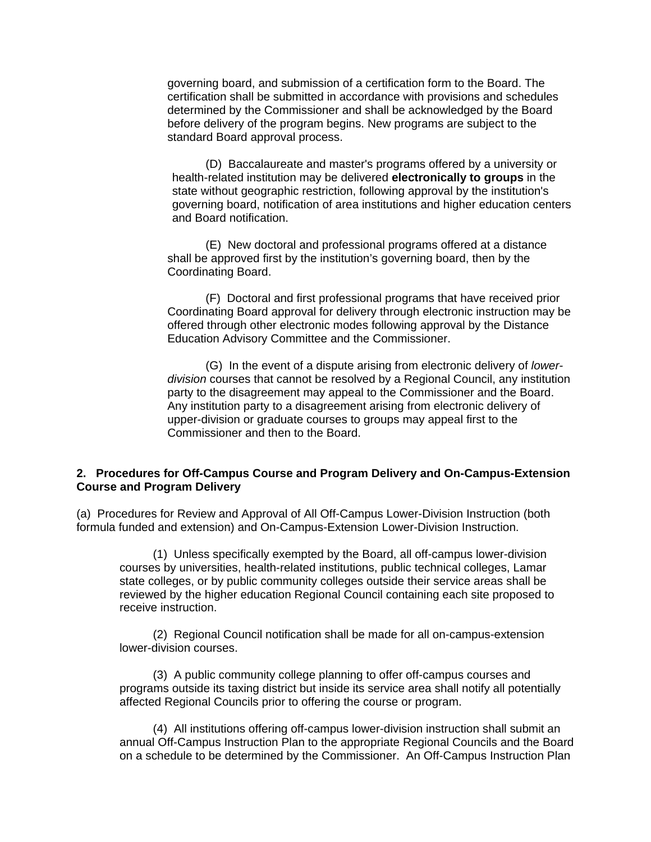governing board, and submission of a certification form to the Board. The certification shall be submitted in accordance with provisions and schedules determined by the Commissioner and shall be acknowledged by the Board before delivery of the program begins. New programs are subject to the standard Board approval process.

(D) Baccalaureate and master's programs offered by a university or health-related institution may be delivered **electronically to groups** in the state without geographic restriction, following approval by the institution's governing board, notification of area institutions and higher education centers and Board notification.

(E) New doctoral and professional programs offered at a distance shall be approved first by the institution's governing board, then by the Coordinating Board.

(F) Doctoral and first professional programs that have received prior Coordinating Board approval for delivery through electronic instruction may be offered through other electronic modes following approval by the Distance Education Advisory Committee and the Commissioner.

(G) In the event of a dispute arising from electronic delivery of *lowerdivision* courses that cannot be resolved by a Regional Council, any institution party to the disagreement may appeal to the Commissioner and the Board. Any institution party to a disagreement arising from electronic delivery of upper-division or graduate courses to groups may appeal first to the Commissioner and then to the Board.

### **2. Procedures for Off-Campus Course and Program Delivery and On-Campus-Extension Course and Program Delivery**

(a) Procedures for Review and Approval of All Off-Campus Lower-Division Instruction (both formula funded and extension) and On-Campus-Extension Lower-Division Instruction.

(1) Unless specifically exempted by the Board, all off-campus lower-division courses by universities, health-related institutions, public technical colleges, Lamar state colleges, or by public community colleges outside their service areas shall be reviewed by the higher education Regional Council containing each site proposed to receive instruction.

(2) Regional Council notification shall be made for all on-campus-extension lower-division courses.

(3) A public community college planning to offer off-campus courses and programs outside its taxing district but inside its service area shall notify all potentially affected Regional Councils prior to offering the course or program.

(4) All institutions offering off-campus lower-division instruction shall submit an annual Off-Campus Instruction Plan to the appropriate Regional Councils and the Board on a schedule to be determined by the Commissioner. An Off-Campus Instruction Plan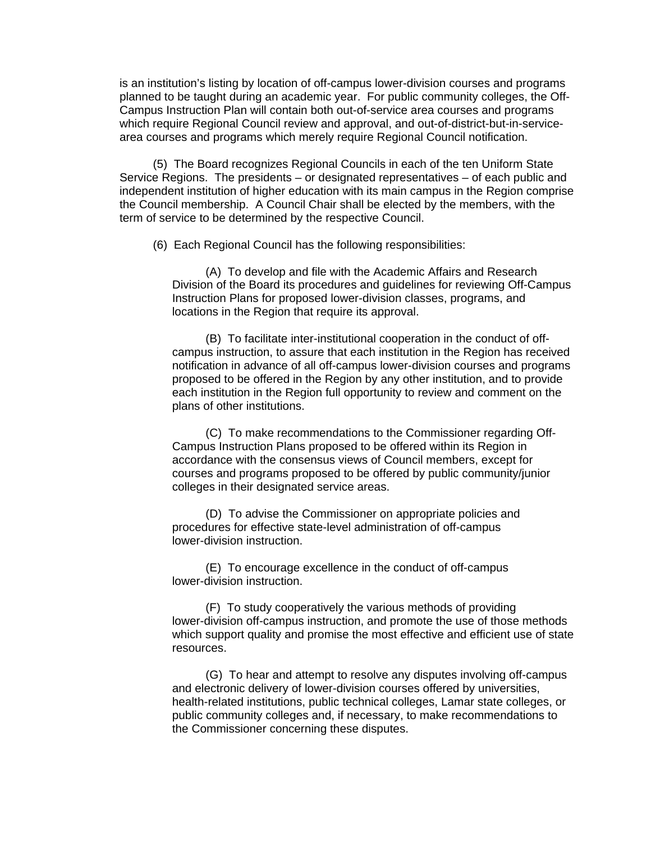is an institution's listing by location of off-campus lower-division courses and programs planned to be taught during an academic year. For public community colleges, the Off-Campus Instruction Plan will contain both out-of-service area courses and programs which require Regional Council review and approval, and out-of-district-but-in-servicearea courses and programs which merely require Regional Council notification.

(5) The Board recognizes Regional Councils in each of the ten Uniform State Service Regions. The presidents – or designated representatives – of each public and independent institution of higher education with its main campus in the Region comprise the Council membership. A Council Chair shall be elected by the members, with the term of service to be determined by the respective Council.

(6) Each Regional Council has the following responsibilities:

(A) To develop and file with the Academic Affairs and Research Division of the Board its procedures and guidelines for reviewing Off-Campus Instruction Plans for proposed lower-division classes, programs, and locations in the Region that require its approval.

(B) To facilitate inter-institutional cooperation in the conduct of offcampus instruction, to assure that each institution in the Region has received notification in advance of all off-campus lower-division courses and programs proposed to be offered in the Region by any other institution, and to provide each institution in the Region full opportunity to review and comment on the plans of other institutions.

(C) To make recommendations to the Commissioner regarding Off-Campus Instruction Plans proposed to be offered within its Region in accordance with the consensus views of Council members, except for courses and programs proposed to be offered by public community/junior colleges in their designated service areas.

(D) To advise the Commissioner on appropriate policies and procedures for effective state-level administration of off-campus lower-division instruction.

(E) To encourage excellence in the conduct of off-campus lower-division instruction.

(F) To study cooperatively the various methods of providing lower-division off-campus instruction, and promote the use of those methods which support quality and promise the most effective and efficient use of state resources.

(G) To hear and attempt to resolve any disputes involving off-campus and electronic delivery of lower-division courses offered by universities, health-related institutions, public technical colleges, Lamar state colleges, or public community colleges and, if necessary, to make recommendations to the Commissioner concerning these disputes.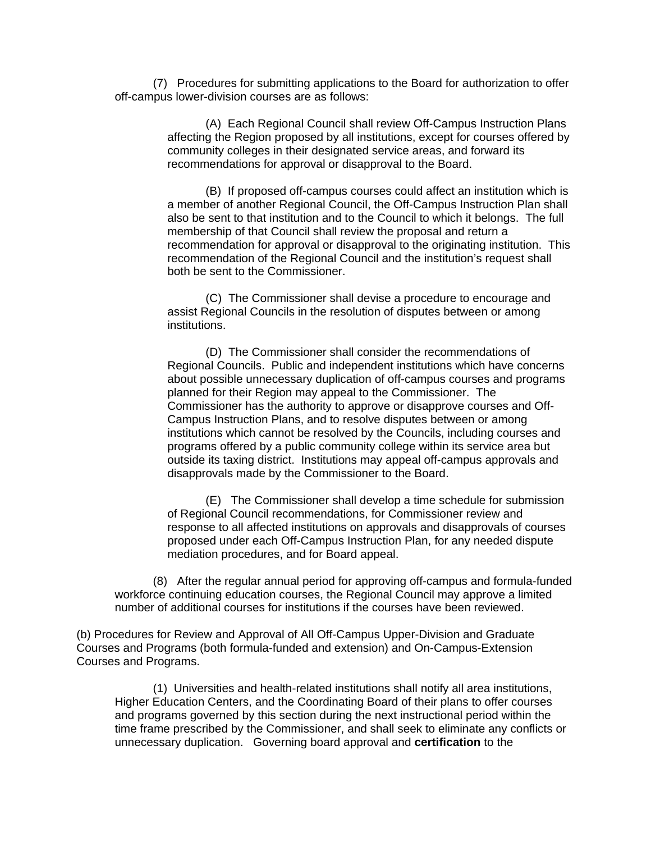(7) Procedures for submitting applications to the Board for authorization to offer off-campus lower-division courses are as follows:

> (A) Each Regional Council shall review Off-Campus Instruction Plans affecting the Region proposed by all institutions, except for courses offered by community colleges in their designated service areas, and forward its recommendations for approval or disapproval to the Board.

> (B) If proposed off-campus courses could affect an institution which is a member of another Regional Council, the Off-Campus Instruction Plan shall also be sent to that institution and to the Council to which it belongs. The full membership of that Council shall review the proposal and return a recommendation for approval or disapproval to the originating institution. This recommendation of the Regional Council and the institution's request shall both be sent to the Commissioner.

(C) The Commissioner shall devise a procedure to encourage and assist Regional Councils in the resolution of disputes between or among institutions.

(D) The Commissioner shall consider the recommendations of Regional Councils. Public and independent institutions which have concerns about possible unnecessary duplication of off-campus courses and programs planned for their Region may appeal to the Commissioner. The Commissioner has the authority to approve or disapprove courses and Off-Campus Instruction Plans, and to resolve disputes between or among institutions which cannot be resolved by the Councils, including courses and programs offered by a public community college within its service area but outside its taxing district. Institutions may appeal off-campus approvals and disapprovals made by the Commissioner to the Board.

(E) The Commissioner shall develop a time schedule for submission of Regional Council recommendations, for Commissioner review and response to all affected institutions on approvals and disapprovals of courses proposed under each Off-Campus Instruction Plan, for any needed dispute mediation procedures, and for Board appeal.

(8) After the regular annual period for approving off-campus and formula-funded workforce continuing education courses, the Regional Council may approve a limited number of additional courses for institutions if the courses have been reviewed.

(b) Procedures for Review and Approval of All Off-Campus Upper-Division and Graduate Courses and Programs (both formula-funded and extension) and On-Campus-Extension Courses and Programs.

 (1) Universities and health-related institutions shall notify all area institutions, Higher Education Centers, and the Coordinating Board of their plans to offer courses and programs governed by this section during the next instructional period within the time frame prescribed by the Commissioner, and shall seek to eliminate any conflicts or unnecessary duplication. Governing board approval and **certification** to the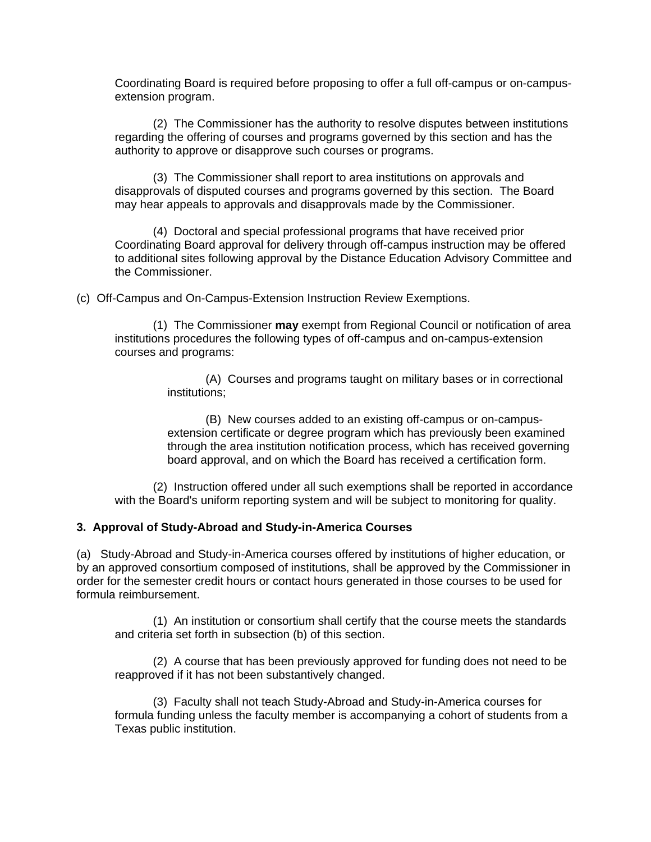Coordinating Board is required before proposing to offer a full off-campus or on-campusextension program.

 (2) The Commissioner has the authority to resolve disputes between institutions regarding the offering of courses and programs governed by this section and has the authority to approve or disapprove such courses or programs.

 (3) The Commissioner shall report to area institutions on approvals and disapprovals of disputed courses and programs governed by this section. The Board may hear appeals to approvals and disapprovals made by the Commissioner.

 (4) Doctoral and special professional programs that have received prior Coordinating Board approval for delivery through off-campus instruction may be offered to additional sites following approval by the Distance Education Advisory Committee and the Commissioner.

(c) Off-Campus and On-Campus-Extension Instruction Review Exemptions.

 (1) The Commissioner **may** exempt from Regional Council or notification of area institutions procedures the following types of off-campus and on-campus-extension courses and programs:

> (A) Courses and programs taught on military bases or in correctional institutions;

(B) New courses added to an existing off-campus or on-campusextension certificate or degree program which has previously been examined through the area institution notification process, which has received governing board approval, and on which the Board has received a certification form.

 (2) Instruction offered under all such exemptions shall be reported in accordance with the Board's uniform reporting system and will be subject to monitoring for quality.

### **3. Approval of Study-Abroad and Study-in-America Courses**

(a) Study-Abroad and Study-in-America courses offered by institutions of higher education, or by an approved consortium composed of institutions, shall be approved by the Commissioner in order for the semester credit hours or contact hours generated in those courses to be used for formula reimbursement.

 (1) An institution or consortium shall certify that the course meets the standards and criteria set forth in subsection (b) of this section.

 (2) A course that has been previously approved for funding does not need to be reapproved if it has not been substantively changed.

 (3) Faculty shall not teach Study-Abroad and Study-in-America courses for formula funding unless the faculty member is accompanying a cohort of students from a Texas public institution.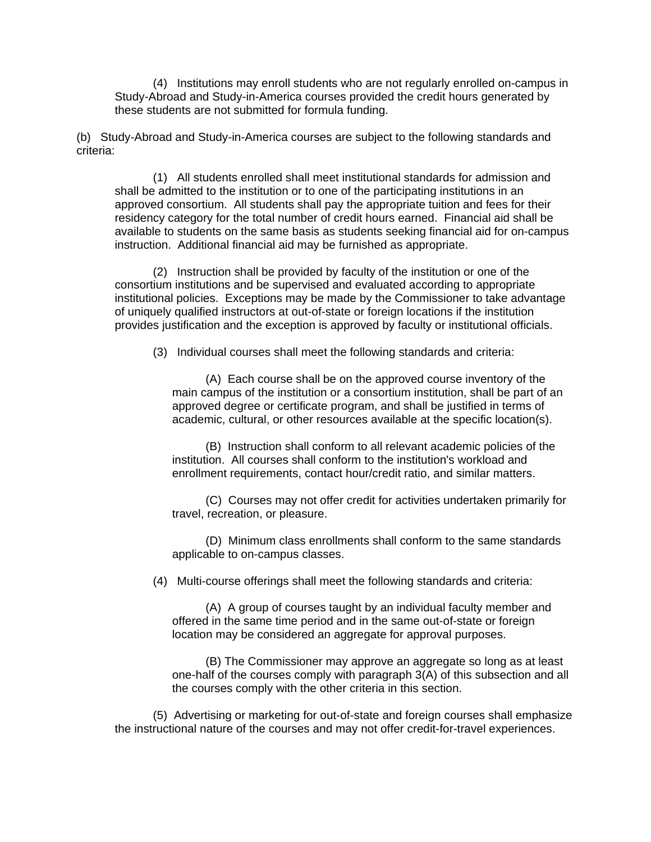(4) Institutions may enroll students who are not regularly enrolled on-campus in Study-Abroad and Study-in-America courses provided the credit hours generated by these students are not submitted for formula funding.

(b) Study-Abroad and Study-in-America courses are subject to the following standards and criteria:

 (1) All students enrolled shall meet institutional standards for admission and shall be admitted to the institution or to one of the participating institutions in an approved consortium. All students shall pay the appropriate tuition and fees for their residency category for the total number of credit hours earned. Financial aid shall be available to students on the same basis as students seeking financial aid for on-campus instruction. Additional financial aid may be furnished as appropriate.

 (2) Instruction shall be provided by faculty of the institution or one of the consortium institutions and be supervised and evaluated according to appropriate institutional policies. Exceptions may be made by the Commissioner to take advantage of uniquely qualified instructors at out-of-state or foreign locations if the institution provides justification and the exception is approved by faculty or institutional officials.

(3) Individual courses shall meet the following standards and criteria:

(A) Each course shall be on the approved course inventory of the main campus of the institution or a consortium institution, shall be part of an approved degree or certificate program, and shall be justified in terms of academic, cultural, or other resources available at the specific location(s).

(B) Instruction shall conform to all relevant academic policies of the institution. All courses shall conform to the institution's workload and enrollment requirements, contact hour/credit ratio, and similar matters.

(C) Courses may not offer credit for activities undertaken primarily for travel, recreation, or pleasure.

(D) Minimum class enrollments shall conform to the same standards applicable to on-campus classes.

(4) Multi-course offerings shall meet the following standards and criteria:

(A) A group of courses taught by an individual faculty member and offered in the same time period and in the same out-of-state or foreign location may be considered an aggregate for approval purposes.

(B) The Commissioner may approve an aggregate so long as at least one-half of the courses comply with paragraph 3(A) of this subsection and all the courses comply with the other criteria in this section.

 (5) Advertising or marketing for out-of-state and foreign courses shall emphasize the instructional nature of the courses and may not offer credit-for-travel experiences.